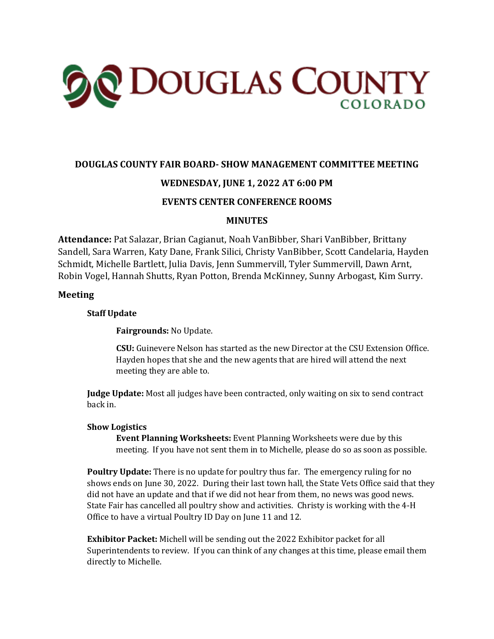

# **DOUGLAS COUNTY FAIR BOARD- SHOW MANAGEMENT COMMITTEE MEETING**

# **WEDNESDAY, JUNE 1, 2022 AT 6:00 PM**

# **EVENTS CENTER CONFERENCE ROOMS**

### **MINUTES**

**Attendance:** Pat Salazar, Brian Cagianut, Noah VanBibber, Shari VanBibber, Brittany Sandell, Sara Warren, Katy Dane, Frank Silici, Christy VanBibber, Scott Candelaria, Hayden Schmidt, Michelle Bartlett, Julia Davis, Jenn Summervill, Tyler Summervill, Dawn Arnt, Robin Vogel, Hannah Shutts, Ryan Potton, Brenda McKinney, Sunny Arbogast, Kim Surry.

### **Meeting**

### **Staff Update**

**Fairgrounds:** No Update.

**CSU:** Guinevere Nelson has started as the new Director at the CSU Extension Office. Hayden hopes that she and the new agents that are hired will attend the next meeting they are able to.

**Judge Update:** Most all judges have been contracted, only waiting on six to send contract back in.

#### **Show Logistics**

**Event Planning Worksheets:** Event Planning Worksheets were due by this meeting. If you have not sent them in to Michelle, please do so as soon as possible.

**Poultry Update:** There is no update for poultry thus far. The emergency ruling for no shows ends on June 30, 2022. During their last town hall, the State Vets Office said that they did not have an update and that if we did not hear from them, no news was good news. State Fair has cancelled all poultry show and activities. Christy is working with the 4-H Office to have a virtual Poultry ID Day on June 11 and 12.

**Exhibitor Packet:** Michell will be sending out the 2022 Exhibitor packet for all Superintendents to review. If you can think of any changes at this time, please email them directly to Michelle.